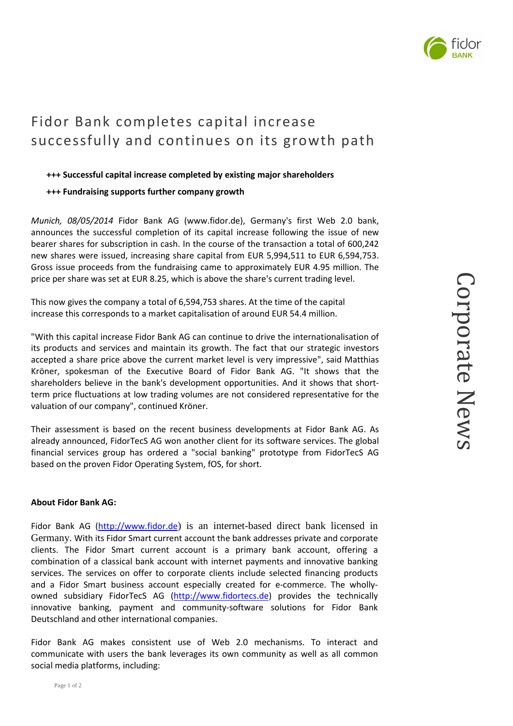## Fidor Bank completes capital increase successfully and continues on its growth path

## **+++ Successful capital increase completed by existing major shareholders**

## **+++ Fundraising supports further company growth**

*Munich, 08/05/2014* Fidor Bank AG (www.fidor.de), Germany's first Web 2.0 bank, announces the successful completion of its capital increase following the issue of new bearer shares for subscription in cash. In the course of the transaction a total of 600,242 new shares were issued, increasing share capital from EUR 5,994,511 to EUR 6,594,753. Gross issue proceeds from the fundraising came to approximately EUR 4.95 million. The price per share was set at EUR 8.25, which is above the share's current trading level.

This now gives the company a total of 6,594,753 shares. At the time of the capital increase this corresponds to a market capitalisation of around EUR 54.4 million.

"With this capital increase Fidor Bank AG can continue to drive the internationalisation of its products and services and maintain its growth. The fact that our strategic investors accepted a share price above the current market level is very impressive", said Matthias Kröner, spokesman of the Executive Board of Fidor Bank AG. "It shows that the shareholders believe in the bank's development opportunities. And it shows that shortterm price fluctuations at low trading volumes are not considered representative for the valuation of our company", continued Kröner.

Their assessment is based on the recent business developments at Fidor Bank AG. As already announced, FidorTecS AG won another client for its software services. The global financial services group has ordered a "social banking" prototype from FidorTecS AG based on the proven Fidor Operating System, fOS, for short.

## **About Fidor Bank AG:**

Fidor Bank AG (http://www.fidor.de) is an internet-based direct bank licensed in Germany. With its Fidor Smart current account the bank addresses private and corporate clients. The Fidor Smart current account is a primary bank account, offering a combination of a classical bank account with internet payments and innovative banking services. The services on offer to corporate clients include selected financing products and a Fidor Smart business account especially created for e-commerce. The whollyowned subsidiary FidorTecS AG (http://www.fidortecs.de) provides the technically innovative banking, payment and community-software solutions for Fidor Bank Deutschland and other international companies.

Fidor Bank AG makes consistent use of Web 2.0 mechanisms. To interact and communicate with users the bank leverages its own community as well as all common social media platforms, including: